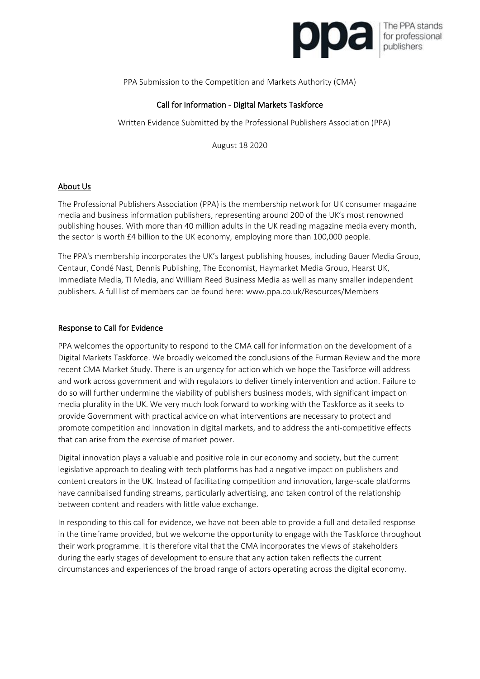

PPA Submission to the Competition and Markets Authority (CMA)

# Call for Information - Digital Markets Taskforce

Written Evidence Submitted by the Professional Publishers Association (PPA)

August 18 2020

### About Us

The Professional Publishers Association (PPA) is the membership network for UK consumer magazine media and business information publishers, representing around 200 of the UK's most renowned publishing houses. With more than 40 million adults in the UK reading magazine media every month, the sector is worth £4 billion to the UK economy, employing more than 100,000 people.

The PPA's membership incorporates the UK's largest publishing houses, including Bauer Media Group, Centaur, Condé Nast, Dennis Publishing, The Economist, Haymarket Media Group, Hearst UK, Immediate Media, TI Media, and William Reed Business Media as well as many smaller independent publishers. A full list of members can be found here: www.ppa.co.uk/Resources/Members

## Response to Call for Evidence

PPA welcomes the opportunity to respond to the CMA call for information on the development of a Digital Markets Taskforce. We broadly welcomed the conclusions of the Furman Review and the more recent CMA Market Study. There is an urgency for action which we hope the Taskforce will address and work across government and with regulators to deliver timely intervention and action. Failure to do so will further undermine the viability of publishers business models, with significant impact on media plurality in the UK. We very much look forward to working with the Taskforce as it seeks to provide Government with practical advice on what interventions are necessary to protect and promote competition and innovation in digital markets, and to address the anti-competitive effects that can arise from the exercise of market power.

Digital innovation plays a valuable and positive role in our economy and society, but the current legislative approach to dealing with tech platforms has had a negative impact on publishers and content creators in the UK. Instead of facilitating competition and innovation, large-scale platforms have cannibalised funding streams, particularly advertising, and taken control of the relationship between content and readers with little value exchange.

In responding to this call for evidence, we have not been able to provide a full and detailed response in the timeframe provided, but we welcome the opportunity to engage with the Taskforce throughout their work programme. It is therefore vital that the CMA incorporates the views of stakeholders during the early stages of development to ensure that any action taken reflects the current circumstances and experiences of the broad range of actors operating across the digital economy.